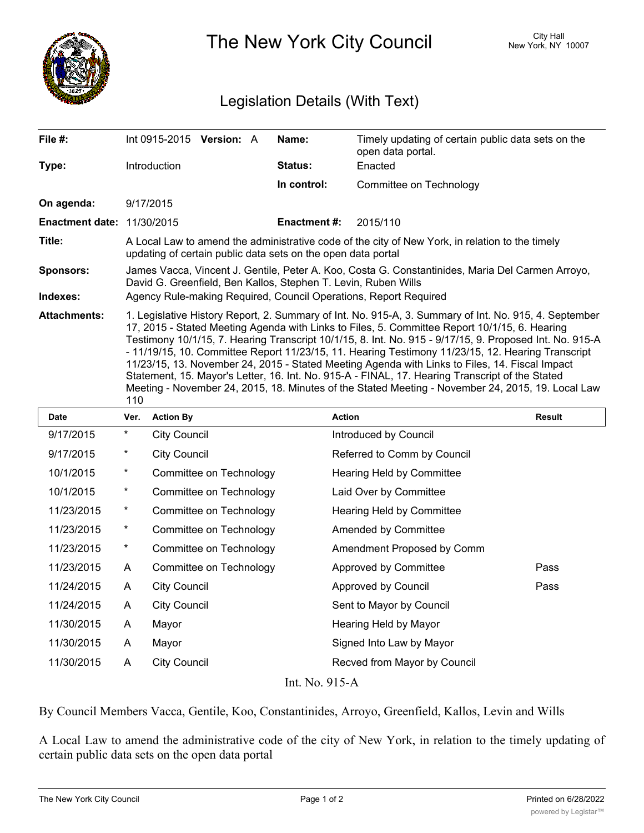

The New York City Council New York, NY 10007

## Legislation Details (With Text)

| File $#$ :                        |                                                                                                                                                                                                                                                                                                                                                                                                                                                                                                                                                                                                                                                                                                                                         |                                                                  | Int 0915-2015 Version: $A$ |  | Name:               | Timely updating of certain public data sets on the<br>open data portal. |               |  |  |
|-----------------------------------|-----------------------------------------------------------------------------------------------------------------------------------------------------------------------------------------------------------------------------------------------------------------------------------------------------------------------------------------------------------------------------------------------------------------------------------------------------------------------------------------------------------------------------------------------------------------------------------------------------------------------------------------------------------------------------------------------------------------------------------------|------------------------------------------------------------------|----------------------------|--|---------------------|-------------------------------------------------------------------------|---------------|--|--|
| Type:                             | Introduction                                                                                                                                                                                                                                                                                                                                                                                                                                                                                                                                                                                                                                                                                                                            |                                                                  |                            |  | Status:             | Enacted                                                                 |               |  |  |
|                                   |                                                                                                                                                                                                                                                                                                                                                                                                                                                                                                                                                                                                                                                                                                                                         |                                                                  |                            |  | In control:         | Committee on Technology                                                 |               |  |  |
| On agenda:                        | 9/17/2015                                                                                                                                                                                                                                                                                                                                                                                                                                                                                                                                                                                                                                                                                                                               |                                                                  |                            |  |                     |                                                                         |               |  |  |
| <b>Enactment date: 11/30/2015</b> |                                                                                                                                                                                                                                                                                                                                                                                                                                                                                                                                                                                                                                                                                                                                         |                                                                  |                            |  | <b>Enactment #:</b> | 2015/110                                                                |               |  |  |
| Title:                            | A Local Law to amend the administrative code of the city of New York, in relation to the timely<br>updating of certain public data sets on the open data portal                                                                                                                                                                                                                                                                                                                                                                                                                                                                                                                                                                         |                                                                  |                            |  |                     |                                                                         |               |  |  |
| <b>Sponsors:</b>                  | James Vacca, Vincent J. Gentile, Peter A. Koo, Costa G. Constantinides, Maria Del Carmen Arroyo,<br>David G. Greenfield, Ben Kallos, Stephen T. Levin, Ruben Wills                                                                                                                                                                                                                                                                                                                                                                                                                                                                                                                                                                      |                                                                  |                            |  |                     |                                                                         |               |  |  |
| Indexes:                          |                                                                                                                                                                                                                                                                                                                                                                                                                                                                                                                                                                                                                                                                                                                                         | Agency Rule-making Required, Council Operations, Report Required |                            |  |                     |                                                                         |               |  |  |
| <b>Attachments:</b>               | 1. Legislative History Report, 2. Summary of Int. No. 915-A, 3. Summary of Int. No. 915, 4. September<br>17, 2015 - Stated Meeting Agenda with Links to Files, 5. Committee Report 10/1/15, 6. Hearing<br>Testimony 10/1/15, 7. Hearing Transcript 10/1/15, 8. Int. No. 915 - 9/17/15, 9. Proposed Int. No. 915-A<br>- 11/19/15, 10. Committee Report 11/23/15, 11. Hearing Testimony 11/23/15, 12. Hearing Transcript<br>11/23/15, 13. November 24, 2015 - Stated Meeting Agenda with Links to Files, 14. Fiscal Impact<br>Statement, 15. Mayor's Letter, 16. Int. No. 915-A - FINAL, 17. Hearing Transcript of the Stated<br>Meeting - November 24, 2015, 18. Minutes of the Stated Meeting - November 24, 2015, 19. Local Law<br>110 |                                                                  |                            |  |                     |                                                                         |               |  |  |
| <b>Date</b>                       | Ver.                                                                                                                                                                                                                                                                                                                                                                                                                                                                                                                                                                                                                                                                                                                                    | <b>Action By</b>                                                 |                            |  | <b>Action</b>       |                                                                         | <b>Result</b> |  |  |

| Date               | Ver.       | <b>Action By</b>        | Action                       | Result |  |  |  |  |
|--------------------|------------|-------------------------|------------------------------|--------|--|--|--|--|
| 9/17/2015          | $\star$    | <b>City Council</b>     | Introduced by Council        |        |  |  |  |  |
| 9/17/2015          | *          | <b>City Council</b>     | Referred to Comm by Council  |        |  |  |  |  |
| 10/1/2015          | $^{\star}$ | Committee on Technology | Hearing Held by Committee    |        |  |  |  |  |
| 10/1/2015          | $^{\star}$ | Committee on Technology | Laid Over by Committee       |        |  |  |  |  |
| 11/23/2015         | $\star$    | Committee on Technology | Hearing Held by Committee    |        |  |  |  |  |
| 11/23/2015         | $\star$    | Committee on Technology | Amended by Committee         |        |  |  |  |  |
| 11/23/2015         | $\ast$     | Committee on Technology | Amendment Proposed by Comm   |        |  |  |  |  |
| 11/23/2015         | A          | Committee on Technology | Approved by Committee        | Pass   |  |  |  |  |
| 11/24/2015         | A          | <b>City Council</b>     | <b>Approved by Council</b>   | Pass   |  |  |  |  |
| 11/24/2015         | A          | <b>City Council</b>     | Sent to Mayor by Council     |        |  |  |  |  |
| 11/30/2015         | A          | Mayor                   | Hearing Held by Mayor        |        |  |  |  |  |
| 11/30/2015         | A          | Mayor                   | Signed Into Law by Mayor     |        |  |  |  |  |
| 11/30/2015         | A          | <b>City Council</b>     | Recved from Mayor by Council |        |  |  |  |  |
| T . 3 T . 04 F . L |            |                         |                              |        |  |  |  |  |

Int. No. 915-A

By Council Members Vacca, Gentile, Koo, Constantinides, Arroyo, Greenfield, Kallos, Levin and Wills

A Local Law to amend the administrative code of the city of New York, in relation to the timely updating of certain public data sets on the open data portal